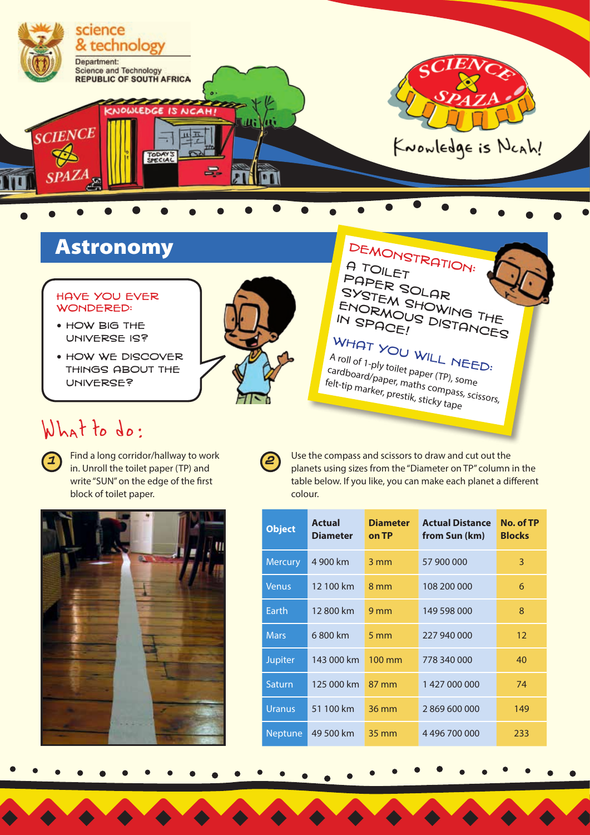

## Astronomy

### Have you ever wondered:

- how big the universe is?
- **HOW WE DISCOVER** things about the universe?

**2**

DEMONSTRATION:<br>A TOILET A TOILET Paper Solar SYSTEM SHOWING THE<br>ENORMOUS DISTANCES ENORMOUS<br>IN SPACE! DISTANCES

WHAT YOU WILL NEED:<br><sup>A roll</sup> of 1-ply toilet napo... A roll of 1-ply toilet paper (TP), some cardboard/paper, maths compass, scissors, felt-tip marker, prestik, sticky tape

# What to do:



**<sup>1</sup>** Find a long corridor/hallway to work in. Unroll the toilet paper (TP) and write "SUN" on the edge of the first block of toilet paper.



Use the compass and scissors to draw and cut out the planets using sizes from the "Diameter on TP" column in the table below. If you like, you can make each planet a different colour.

| <b>Object</b>  | <b>Actual</b><br><b>Diameter</b> | <b>Diameter</b><br>on TP | <b>Actual Distance</b><br>from Sun (km) | No. of TP<br><b>Blocks</b> |
|----------------|----------------------------------|--------------------------|-----------------------------------------|----------------------------|
| <b>Mercury</b> | 4 900 km                         | $3 \, \text{mm}$         | 57 900 000                              | 3                          |
| <b>Venus</b>   | 12 100 km                        | 8 mm                     | 108 200 000                             | 6                          |
| Earth          | 12800 km                         | 9 <sub>mm</sub>          | 149 598 000                             | 8                          |
| <b>Mars</b>    | 6800 km                          | 5 <sub>mm</sub>          | 227 940 000                             | 12                         |
| <b>Jupiter</b> | 143 000 km                       | 100 mm                   | 778 340 000                             | 40                         |
| Saturn         | 125 000 km                       | 87 mm                    | 1427000000                              | 74                         |
| Uranus         | 51 100 km                        | 36 mm                    | 2869600000                              | 149                        |
| <b>Neptune</b> | 49 500 km                        | 35 mm                    | 4 496 700 000                           | 233                        |